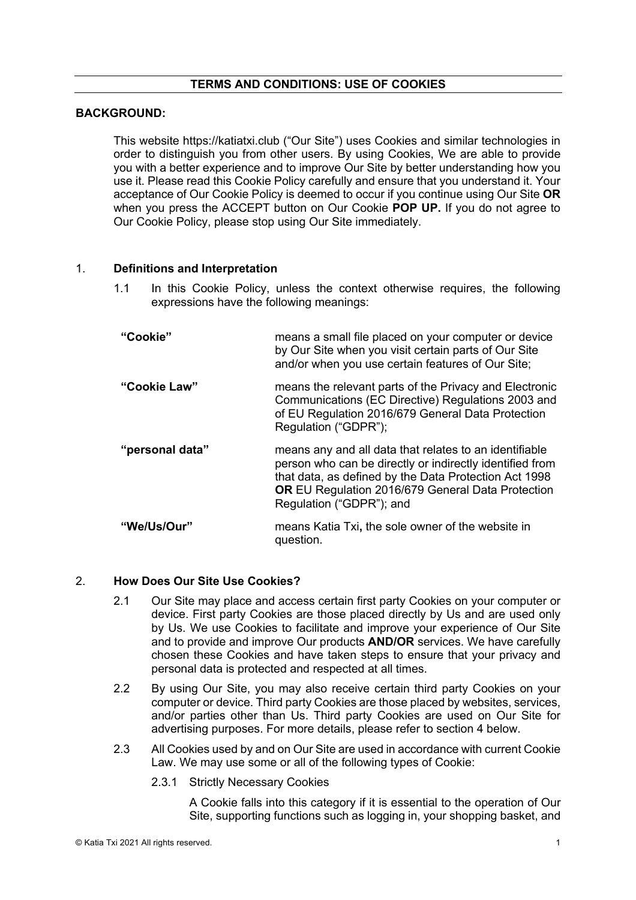#### **TERMS AND CONDITIONS: USE OF COOKIES**

#### **BACKGROUND:**

This website https://katiatxi.club ("Our Site") uses Cookies and similar technologies in order to distinguish you from other users. By using Cookies, We are able to provide you with a better experience and to improve Our Site by better understanding how you use it. Please read this Cookie Policy carefully and ensure that you understand it. Your acceptance of Our Cookie Policy is deemed to occur if you continue using Our Site **OR**  when you press the ACCEPT button on Our Cookie **POP UP.** If you do not agree to Our Cookie Policy, please stop using Our Site immediately.

#### 1. **Definitions and Interpretation**

1.1 In this Cookie Policy, unless the context otherwise requires, the following expressions have the following meanings:

| "Cookie"        | means a small file placed on your computer or device<br>by Our Site when you visit certain parts of Our Site<br>and/or when you use certain features of Our Site;                                                                                                   |
|-----------------|---------------------------------------------------------------------------------------------------------------------------------------------------------------------------------------------------------------------------------------------------------------------|
| "Cookie Law"    | means the relevant parts of the Privacy and Electronic<br>Communications (EC Directive) Regulations 2003 and<br>of EU Regulation 2016/679 General Data Protection<br>Regulation ("GDPR");                                                                           |
| "personal data" | means any and all data that relates to an identifiable<br>person who can be directly or indirectly identified from<br>that data, as defined by the Data Protection Act 1998<br><b>OR EU Regulation 2016/679 General Data Protection</b><br>Regulation ("GDPR"); and |
| "We/Us/Our"     | means Katia Txi, the sole owner of the website in<br>question.                                                                                                                                                                                                      |

#### 2. **How Does Our Site Use Cookies?**

- 2.1 Our Site may place and access certain first party Cookies on your computer or device. First party Cookies are those placed directly by Us and are used only by Us. We use Cookies to facilitate and improve your experience of Our Site and to provide and improve Our products **AND/OR** services. We have carefully chosen these Cookies and have taken steps to ensure that your privacy and personal data is protected and respected at all times.
- 2.2 By using Our Site, you may also receive certain third party Cookies on your computer or device. Third party Cookies are those placed by websites, services, and/or parties other than Us. Third party Cookies are used on Our Site for advertising purposes. For more details, please refer to section 4 below.
- 2.3 All Cookies used by and on Our Site are used in accordance with current Cookie Law. We may use some or all of the following types of Cookie:
	- 2.3.1 Strictly Necessary Cookies

A Cookie falls into this category if it is essential to the operation of Our Site, supporting functions such as logging in, your shopping basket, and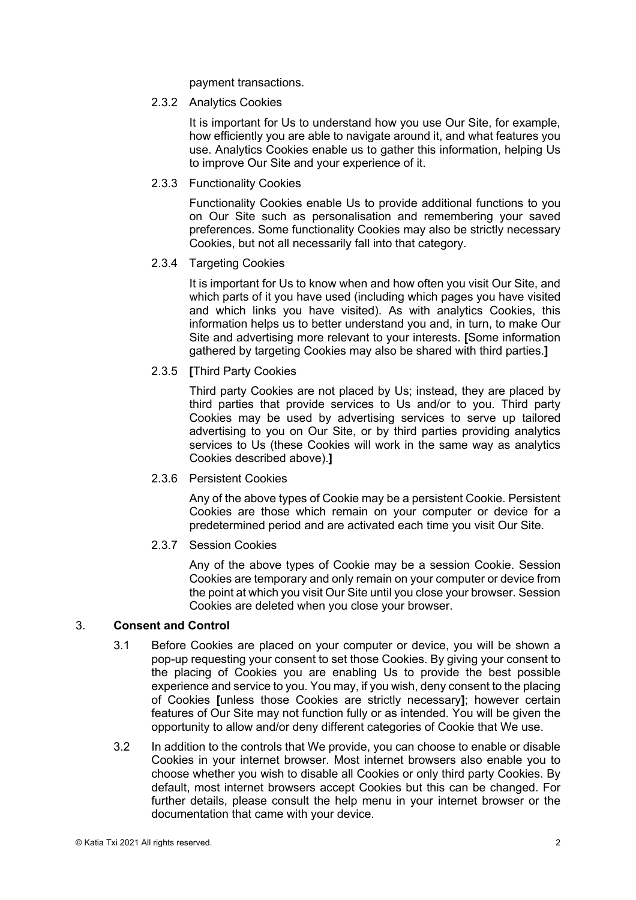payment transactions.

#### 2.3.2 Analytics Cookies

It is important for Us to understand how you use Our Site, for example, how efficiently you are able to navigate around it, and what features you use. Analytics Cookies enable us to gather this information, helping Us to improve Our Site and your experience of it.

### 2.3.3 Functionality Cookies

Functionality Cookies enable Us to provide additional functions to you on Our Site such as personalisation and remembering your saved preferences. Some functionality Cookies may also be strictly necessary Cookies, but not all necessarily fall into that category.

#### 2.3.4 Targeting Cookies

It is important for Us to know when and how often you visit Our Site, and which parts of it you have used (including which pages you have visited and which links you have visited). As with analytics Cookies, this information helps us to better understand you and, in turn, to make Our Site and advertising more relevant to your interests. **[**Some information gathered by targeting Cookies may also be shared with third parties.**]**

# 2.3.5 **[**Third Party Cookies

Third party Cookies are not placed by Us; instead, they are placed by third parties that provide services to Us and/or to you. Third party Cookies may be used by advertising services to serve up tailored advertising to you on Our Site, or by third parties providing analytics services to Us (these Cookies will work in the same way as analytics Cookies described above).**]**

# 2.3.6 Persistent Cookies

Any of the above types of Cookie may be a persistent Cookie. Persistent Cookies are those which remain on your computer or device for a predetermined period and are activated each time you visit Our Site.

# 2.3.7 Session Cookies

Any of the above types of Cookie may be a session Cookie. Session Cookies are temporary and only remain on your computer or device from the point at which you visit Our Site until you close your browser. Session Cookies are deleted when you close your browser.

# 3. **Consent and Control**

- 3.1 Before Cookies are placed on your computer or device, you will be shown a pop-up requesting your consent to set those Cookies. By giving your consent to the placing of Cookies you are enabling Us to provide the best possible experience and service to you. You may, if you wish, deny consent to the placing of Cookies **[**unless those Cookies are strictly necessary**]**; however certain features of Our Site may not function fully or as intended. You will be given the opportunity to allow and/or deny different categories of Cookie that We use.
- 3.2 In addition to the controls that We provide, you can choose to enable or disable Cookies in your internet browser. Most internet browsers also enable you to choose whether you wish to disable all Cookies or only third party Cookies. By default, most internet browsers accept Cookies but this can be changed. For further details, please consult the help menu in your internet browser or the documentation that came with your device.